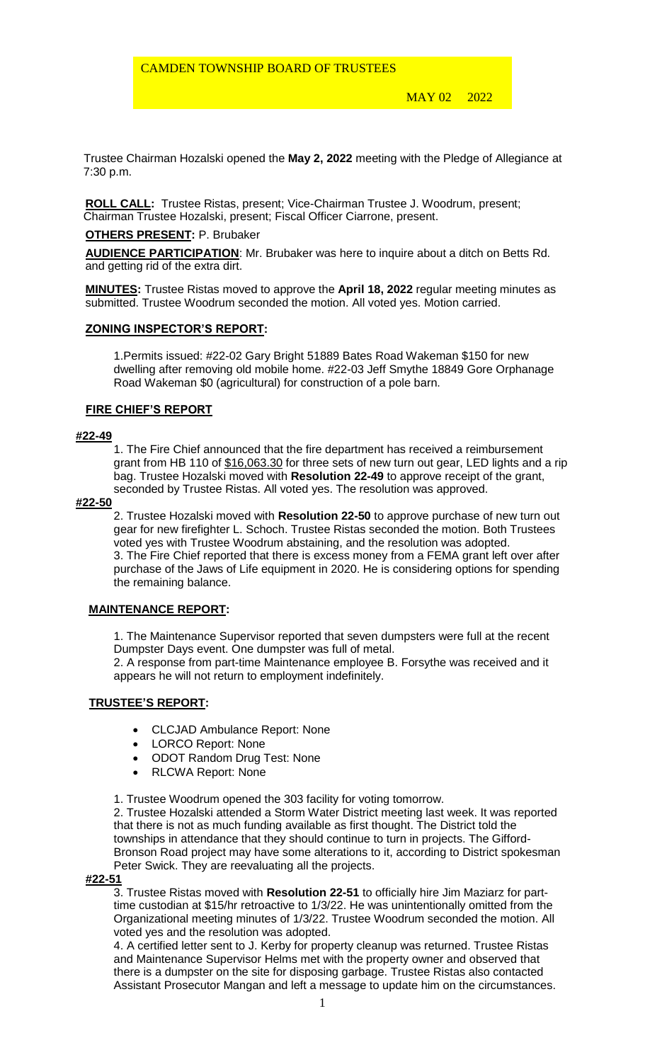MAY 02 2022

 Trustee Chairman Hozalski opened the **May 2, 2022** meeting with the Pledge of Allegiance at 7:30 p.m.

**ROLL CALL:** Trustee Ristas, present; Vice-Chairman Trustee J. Woodrum, present; Chairman Trustee Hozalski, present; Fiscal Officer Ciarrone, present.

#### **OTHERS PRESENT:** P. Brubaker

**AUDIENCE PARTICIPATION**: Mr. Brubaker was here to inquire about a ditch on Betts Rd. and getting rid of the extra dirt.

**MINUTES:** Trustee Ristas moved to approve the **April 18, 2022** regular meeting minutes as submitted. Trustee Woodrum seconded the motion. All voted yes. Motion carried.

### **ZONING INSPECTOR'S REPORT:**

1.Permits issued: #22-02 Gary Bright 51889 Bates Road Wakeman \$150 for new dwelling after removing old mobile home. #22-03 Jeff Smythe 18849 Gore Orphanage Road Wakeman \$0 (agricultural) for construction of a pole barn.

### **FIRE CHIEF'S REPORT**

#### **#22-49**

1. The Fire Chief announced that the fire department has received a reimbursement grant from HB 110 of \$16,063.30 for three sets of new turn out gear, LED lights and a rip bag. Trustee Hozalski moved with **Resolution 22-49** to approve receipt of the grant, seconded by Trustee Ristas. All voted yes. The resolution was approved.

#### **#22-50**

2. Trustee Hozalski moved with **Resolution 22-50** to approve purchase of new turn out gear for new firefighter L. Schoch. Trustee Ristas seconded the motion. Both Trustees voted yes with Trustee Woodrum abstaining, and the resolution was adopted. 3. The Fire Chief reported that there is excess money from a FEMA grant left over after purchase of the Jaws of Life equipment in 2020. He is considering options for spending the remaining balance.

### **MAINTENANCE REPORT:**

1. The Maintenance Supervisor reported that seven dumpsters were full at the recent Dumpster Days event. One dumpster was full of metal.

2. A response from part-time Maintenance employee B. Forsythe was received and it appears he will not return to employment indefinitely.

### **TRUSTEE'S REPORT:**

- CLCJAD Ambulance Report: None
- LORCO Report: None
- ODOT Random Drug Test: None
- RLCWA Report: None

1. Trustee Woodrum opened the 303 facility for voting tomorrow.

2. Trustee Hozalski attended a Storm Water District meeting last week. It was reported that there is not as much funding available as first thought. The District told the townships in attendance that they should continue to turn in projects. The Gifford-Bronson Road project may have some alterations to it, according to District spokesman Peter Swick. They are reevaluating all the projects.

#### **#22-51**

3. Trustee Ristas moved with **Resolution 22-51** to officially hire Jim Maziarz for parttime custodian at \$15/hr retroactive to 1/3/22. He was unintentionally omitted from the Organizational meeting minutes of 1/3/22. Trustee Woodrum seconded the motion. All voted yes and the resolution was adopted.

4. A certified letter sent to J. Kerby for property cleanup was returned. Trustee Ristas and Maintenance Supervisor Helms met with the property owner and observed that there is a dumpster on the site for disposing garbage. Trustee Ristas also contacted Assistant Prosecutor Mangan and left a message to update him on the circumstances.